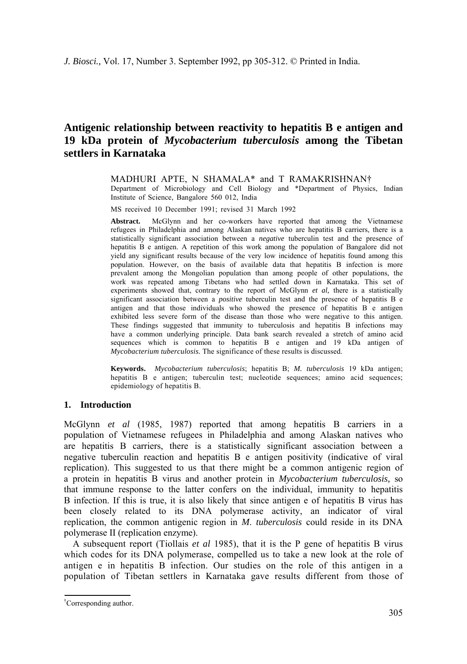# **Antigenic relationship between reactivity to hepatitis B e antigen and 19 kDa protein of** *Mycobacterium tuberculosis* **among the Tibetan settlers in Karnataka**

MADHURI APTE, N SHAMALA\* and T RAMAKRISHNAN†

Department of Microbiology and Cell Biology and \*Department of Physics, Indian Institute of Science, Bangalore 560 012, India

MS received 10 December 1991; revised 31 March 1992

**Abstract.** McGlynn and her co-workers have reported that among the Vietnamese refugees in Philadelphia and among Alaskan natives who are hepatitis B carriers, there is a statistically significant association between a *negative* tuberculin test and the presence of hepatitis B e antigen. A repetition of this work among the population of Bangalore did not yield any significant results because of the very low incidence of hepatitis found among this population. However, on the basis of available data that hepatitis B infection is more prevalent among the Mongolian population than among people of other populations, the work was repeated among Tibetans who had settled down in Karnataka. This set of experiments showed that, contrary to the report of McGlynn *et al,* there is a statistically significant association between a *positive* tuberculin test and the presence of hepatitis B e antigen and that those individuals who showed the presence of hepatitis B e antigen exhibited less severe form of the disease than those who were negative to this antigen. These findings suggested that immunity to tuberculosis and hepatitis B infections may have a common underlying principle. Data bank search revealed a stretch of amino acid sequences which is common to hepatitis B e antigen and 19 kDa antigen of *Mycobacterium tuberculosis.* The significance of these results is discussed.

**Keywords.** *Mycobacterium tuberculosis*; hepatitis B; *M. tuberculosis* 19 kDa antigen; hepatitis B e antigen; tuberculin test; nucleotide sequences; amino acid sequences; epidemiology of hepatitis B.

## **1. Introduction**

McGlynn *et al* (1985, 1987) reported that among hepatitis B carriers in a population of Vietnamese refugees in Philadelphia and among Alaskan natives who are hepatitis B carriers, there is a statistically significant association between a negative tuberculin reaction and hepatitis B e antigen positivity (indicative of viral replication). This suggested to us that there might be a common antigenic region of a protein in hepatitis B virus and another protein in *Mycobacterium tuberculosis,* so that immune response to the latter confers on the individual, immunity to hepatitis B infection. If this is true, it is also likely that since antigen e of hepatitis B virus has been closely related to its DNA polymerase activity, an indicator of viral replication, the common antigenic region in *M*. *tuberculosis* could reside in its DNA polymerase II (replication enzyme).

A subsequent report (Tiollais *et al* 1985), that it is the P gene of hepatitis B virus which codes for its DNA polymerase, compelled us to take a new look at the role of antigen e in hepatitis B infection. Our studies on the role of this antigen in a population of Tibetan settlers in Karnataka gave results different from those of

<sup>†</sup> Corresponding author.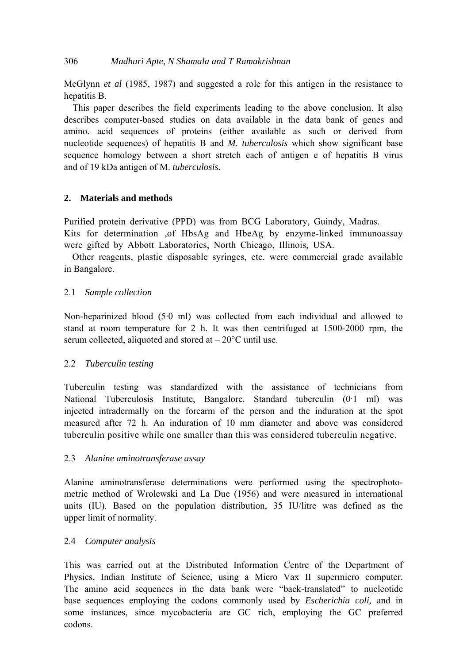McGlynn *et al* (1985, 1987) and suggested a role for this antigen in the resistance to hepatitis B.

This paper describes the field experiments leading to the above conclusion. It also describes computer-based studies on data available in the data bank of genes and amino. acid sequences of proteins (either available as such or derived from nucleotide sequences) of hepatitis B and *M*. *tuberculosis* which show significant base sequence homology between a short stretch each of antigen e of hepatitis B virus and of 19 kDa antigen of M. *tuberculosis.* 

# **2. Materials and methods**

Purified protein derivative (PPD) was from BCG Laboratory, Guindy, Madras. Kits for determination ,of HbsAg and HbeAg by enzyme-linked immunoassay were gifted by Abbott Laboratories, North Chicago, Illinois, USA.

Other reagents, plastic disposable syringes, etc. were commercial grade available in Bangalore.

# 2.1 *Sample collection*

Non-heparinized blood (5·0 ml) was collected from each individual and allowed to stand at room temperature for 2 h. It was then centrifuged at 1500-2000 rpm, the serum collected, aliquoted and stored at  $-20^{\circ}$ C until use.

## 2.2 *Tuberculin testing*

Tuberculin testing was standardized with the assistance of technicians from National Tuberculosis Institute, Bangalore. Standard tuberculin (0·1 ml) was injected intradermally on the forearm of the person and the induration at the spot measured after 72 h. An induration of 10 mm diameter and above was considered tuberculin positive while one smaller than this was considered tuberculin negative.

## 2.3 *Alanine aminotransferase assay*

Alanine aminotransferase determinations were performed using the spectrophotometric method of Wrolewski and La Due (1956) and were measured in international units (IU). Based on the population distribution, 35 IU/litre was defined as the upper limit of normality.

## 2.4 *Computer analysis*

This was carried out at the Distributed Information Centre of the Department of Physics, Indian Institute of Science, using a Micro Vax II supermicro computer. The amino acid sequences in the data bank were "back-translated" to nucleotide base sequences employing the codons commonly used by *Escherichia coli,* and in some instances, since mycobacteria are GC rich, employing the GC preferred codons.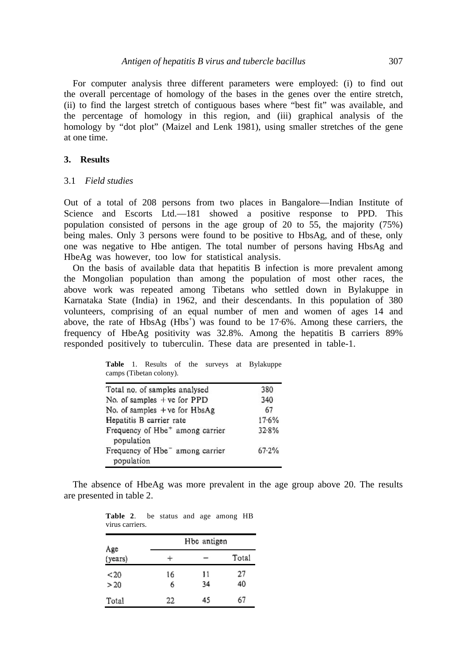For computer analysis three different parameters were employed: (i) to find out the overall percentage of homology of the bases in the genes over the entire stretch, (ii) to find the largest stretch of contiguous bases where "best fit" was available, and the percentage of homology in this region, and (iii) graphical analysis of the homology by "dot plot" (Maizel and Lenk 1981), using smaller stretches of the gene at one time.

#### **3. Results**

#### 3.1 *Field studies*

Out of a total of 208 persons from two places in Bangalore—Indian Institute of Science and Escorts Ltd.—181 showed a positive response to PPD. This population consisted of persons in the age group of 20 to 55, the majority (75%) being males. Only 3 persons were found to be positive to HbsAg, and of these, only one was negative to Hbe antigen. The total number of persons having HbsAg and HbeAg was however, too low for statistical analysis.

On the basis of available data that hepatitis B infection is more prevalent among the Mongolian population than among the population of most other races, the above work was repeated among Tibetans who settled down in Bylakuppe in Karnataka State (India) in 1962, and their descendants. In this population of 380 volunteers, comprising of an equal number of men and women of ages 14 and above, the rate of  $HbsAg$   $(Hbs<sup>+</sup>)$  was found to be 17.6%. Among these carriers, the frequency of HbeAg positivity was 32.8%. Among the hepatitis B carriers 89% responded positively to tuberculin. These data are presented in table-1.

| <b>Table</b> 1. Results of the<br>camps (Tibetan colony). | surveys at Bylakuppe |
|-----------------------------------------------------------|----------------------|
| Total no. of samples analysed                             | 380                  |
| No. of samples $+ve$ for PPD                              | 340                  |
| No. of samples $+ve$ for HbsAg                            | 67                   |
| Hepatitis B carrier rate                                  | 17.6%                |
| Frequency of Hbe <sup>+</sup> among carrier<br>population | 32.8%                |
| Frequency of Hbe <sup>-</sup> among carrier<br>population | 67.2%                |

The absence of HbeAg was more prevalent in the age group above 20. The results are presented in table 2.

**Table 2**. be status and age among HB virus carriers.

|                     | Hbe antigen |          |          |
|---------------------|-------------|----------|----------|
| Age<br>(years)      |             |          | Total    |
| ${}_{< 20}$<br>> 20 | 16<br>6     | 11<br>34 | 27<br>40 |
| Total               | 22          | 45       | 67       |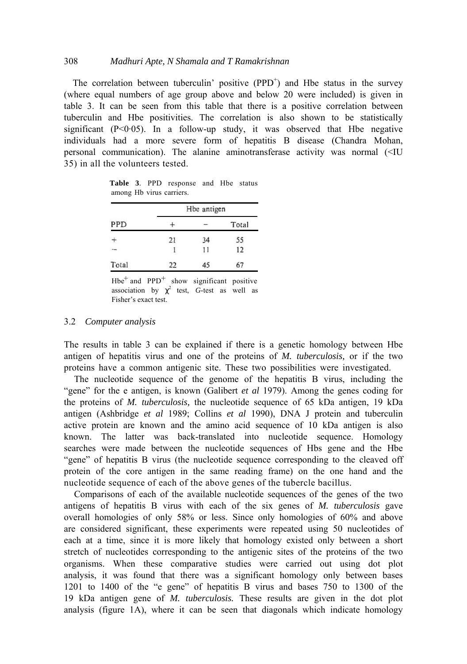## 308 *Madhuri Apte, N Shamala and T Ramakrishnan*

The correlation between tuberculin' positive  $(PPD<sup>+</sup>)$  and Hbe status in the survey (where equal numbers of age group above and below 20 were included) is given in table 3. It can be seen from this table that there is a positive correlation between tuberculin and Hbe positivities. The correlation is also shown to be statistically significant  $(P<0.05)$ . In a follow-up study, it was observed that Hbe negative individuals had a more severe form of hepatitis B disease (Chandra Mohan, personal communication). The alanine aminotransferase activity was normal (<IU 35) in all the volunteers tested.

**Table 3**. PPD response and Hbe status among Hb virus carriers.

| PPD   | Hbe antigen |    |       |
|-------|-------------|----|-------|
|       |             |    | Total |
|       | 21          | 34 | 55    |
|       | ୀ           | 11 | 12    |
| Total | 22          | 45 |       |

 $Hbe<sup>+</sup>$  and  $PPD<sup>+</sup>$  show significant positive association by  $\chi^2$  test, *G*-test as well as Fisher's exact test.

#### 3.2 *Computer analysis*

The results in table 3 can be explained if there is a genetic homology between Hbe antigen of hepatitis virus and one of the proteins of *M. tuberculosis,* or if the two proteins have a common antigenic site. These two possibilities were investigated.

The nucleotide sequence of the genome of the hepatitis B virus, including the "gene" for the e antigen, is known (Galibert *et al* 1979). Among the genes coding for the proteins of *M. tuberculosis,* the nucleotide sequence of 65 kDa antigen, 19 kDa antigen (Ashbridge *et al* 1989; Collins *et al* 1990), DNA J protein and tuberculin active protein are known and the amino acid sequence of 10 kDa antigen is also known. The latter was back-translated into nucleotide sequence. Homology searches were made between the nucleotide sequences of Hbs gene and the Hbe "gene" of hepatitis B virus (the nucleotide sequence corresponding to the cleaved off protein of the core antigen in the same reading frame) on the one hand and the nucleotide sequence of each of the above genes of the tubercle bacillus.

Comparisons of each of the available nucleotide sequences of the genes of the two antigens of hepatitis B virus with each of the six genes of *M. tuberculosis* gave overall homologies of only 58% or less. Since only homologies of 60% and above are considered significant, these experiments were repeated using 50 nucleotides of each at a time, since it is more likely that homology existed only between a short stretch of nucleotides corresponding to the antigenic sites of the proteins of the two organisms. When these comparative studies were carried out using dot plot analysis, it was found that there was a significant homology only between bases 1201 to 1400 of the "e gene" of hepatitis B virus and bases 750 to 1300 of the 19 kDa antigen gene of *M. tuberculosis.* These results are given in the dot plot analysis (figure 1A), where it can be seen that diagonals which indicate homology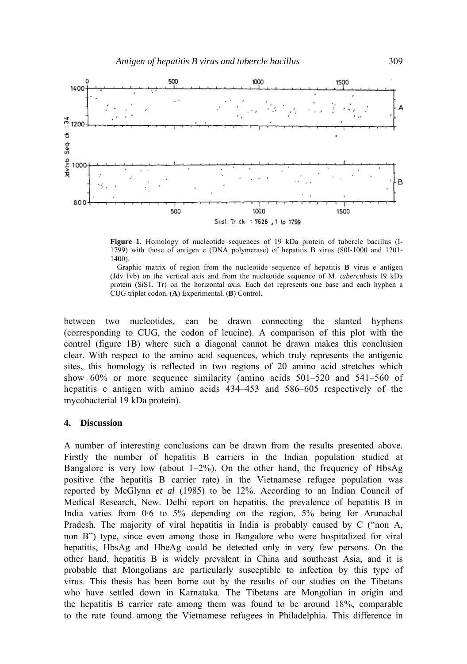

**Figure 1.** Homology of nucleotide sequences of 19 kDa protein of tubercle bacillus (I-1799) with those of antigen e (DNA polymerase) of hepatitis B virus (80I-1000 and 1201- 1400).

Graphic matrix of region from the nucleotide sequence of hepatitis **B** virus e antigen (Jdv Ivb) on the vertical axis and from the nucleotide sequence of M. *tuberculosis* I9 kDa protein (SiS1. Tr) on the horizontal axis. Each dot represents one base and each hyphen a CUG triplet codon. (**A**) Experimental. (**B**) Control.

between two nucleotides, can be drawn connecting the slanted hyphens (corresponding to CUG, the codon of leucine). A comparison of this plot with the control (figure 1B) where such a diagonal cannot be drawn makes this conclusion clear. With respect to the amino acid sequences, which truly represents the antigenic sites, this homology is reflected in two regions of 20 amino acid stretches which show 60% or more sequence similarity (amino acids 501–520 and 541–560 of hepatitis e antigen with amino acids 434–453 and 586–605 respectively of the mycobacterial 19 kDa protein).

#### **4. Discussion**

A number of interesting conclusions can be drawn from the results presented above. Firstly the number of hepatitis B carriers in the Indian population studied at Bangalore is very low (about  $1-2\%$ ). On the other hand, the frequency of HbsAg positive (the hepatitis B carrier rate) in the Vietnamese refugee population was reported by McGlynn *et al* (1985) to be 12%. According to an Indian Council of Medical Research, New. Delhi report on hepatitis, the prevalence of hepatitis B in India varies from 0·6 to 5% depending on the region, 5% being for Arunachal Pradesh. The majority of viral hepatitis in India is probably caused by C ("non A, non B") type, since even among those in Bangalore who were hospitalized for viral hepatitis, HbsAg and HbeAg could be detected only in very few persons. On the other hand, hepatitis B is widely prevalent in China and southeast Asia, and it is probable that Mongolians are particularly susceptible to infection by this type of virus. This thesis has been borne out by the results of our studies on the Tibetans who have settled down in Karnataka. The Tibetans are Mongolian in origin and the hepatitis B carrier rate among them was found to be around 18%, comparable to the rate found among the Vietnamese refugees in Philadelphia. This difference in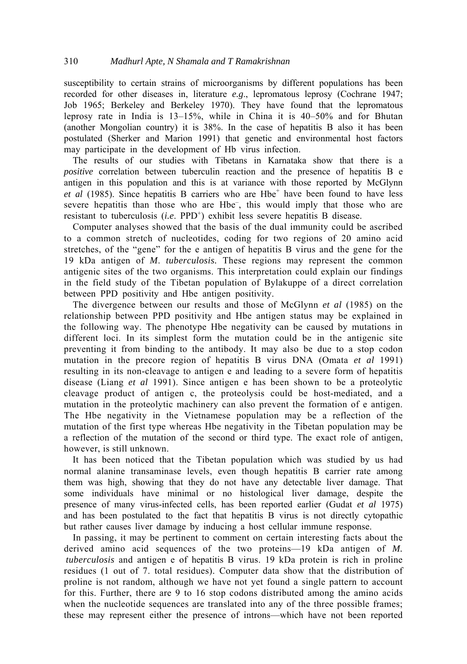susceptibility to certain strains of microorganisms by different populations has been recorded for other diseases in, literature *e.g*., lepromatous leprosy (Cochrane 1947; Job 1965; Berkeley and Berkeley 1970). They have found that the lepromatous leprosy rate in India is 13–15%, while in China it is 40–50% and for Bhutan (another Mongolian country) it is 38%. In the case of hepatitis B also it has been postulated (Sherker and Marion 1991) that genetic and environmental host factors may participate in the development of Hb virus infection.

The results of our studies with Tibetans in Karnataka show that there is a *positive* correlation between tuberculin reaction and the presence of hepatitis B e antigen in this population and this is at variance with those reported by McGlynn et al (1985). Since hepatitis B carriers who are Hbe<sup>+</sup> have been found to have less severe hepatitis than those who are Hbe<sup>-</sup>, this would imply that those who are resistant to tuberculosis  $(i.e.$  PPD<sup>+</sup>) exhibit less severe hepatitis B disease.

Computer analyses showed that the basis of the dual immunity could be ascribed to a common stretch of nucleotides, coding for two regions of 20 amino acid stretches, of the "gene" for the e antigen of hepatitis B virus and the gene for the 19 kDa antigen of *M*. *tuberculosis.* These regions may represent the common antigenic sites of the two organisms. This interpretation could explain our findings in the field study of the Tibetan population of Bylakuppe of a direct correlation between PPD positivity and Hbe antigen positivity.

The divergence between our results and those of McGlynn *et al* (1985) on the relationship between PPD positivity and Hbe antigen status may be explained in the following way. The phenotype Hbe negativity can be caused by mutations in different loci. In its simplest form the mutation could be in the antigenic site preventing it from binding to the antibody. It may also be due to a stop codon mutation in the precore region of hepatitis B virus DNA (Omata *et al* 1991) resulting in its non-cleavage to antigen e and leading to a severe form of hepatitis disease (Liang *et al* 1991). Since antigen e has been shown to be a proteolytic cleavage product of antigen c, the proteolysis could be host-mediated, and a mutation in the proteolytic machinery can also prevent the formation of e antigen. The Hbe negativity in the Vietnamese population may be a reflection of the mutation of the first type whereas Hbe negativity in the Tibetan population may be a reflection of the mutation of the second or third type. The exact role of antigen, however, is still unknown.

It has been noticed that the Tibetan population which was studied by us had normal alanine transaminase levels, even though hepatitis B carrier rate among them was high, showing that they do not have any detectable liver damage. That some individuals have minimal or no histological liver damage, despite the presence of many virus-infected cells, has been reported earlier (Gudat *et al* 1975) and has been postulated to the fact that hepatitis B virus is not directly cytopathic but rather causes liver damage by inducing a host cellular immune response.

In passing, it may be pertinent to comment on certain interesting facts about the derived amino acid sequences of the two proteins—19 kDa antigen of *M. tuberculosis* and antigen e of hepatitis B virus. 19 kDa protein is rich in proline residues (1 out of 7. total residues). Computer data show that the distribution of proline is not random, although we have not yet found a single pattern to account for this. Further, there are 9 to 16 stop codons distributed among the amino acids when the nucleotide sequences are translated into any of the three possible frames; these may represent either the presence of introns—which have not been reported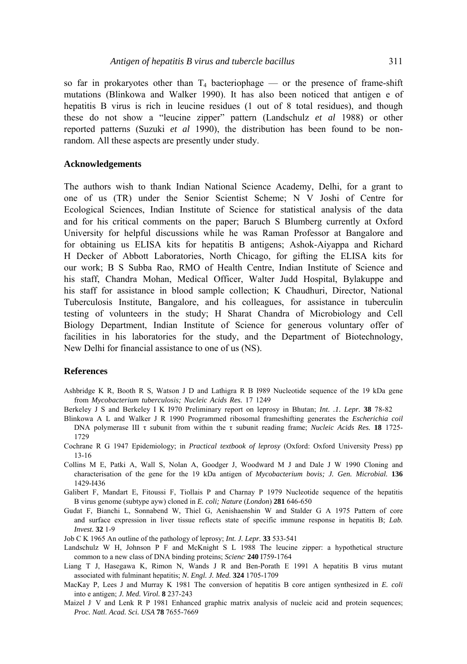so far in prokaryotes other than  $T_4$  bacteriophage — or the presence of frame-shift mutations (Blinkowa and Walker 1990). It has also been noticed that antigen e of hepatitis B virus is rich in leucine residues (1 out of 8 total residues), and though these do not show a "leucine zipper" pattern (Landschulz *et al* 1988) or other reported patterns (Suzuki *et al* 1990), the distribution has been found to be nonrandom. All these aspects are presently under study.

#### **Acknowledgements**

The authors wish to thank Indian National Science Academy, Delhi, for a grant to one of us (TR) under the Senior Scientist Scheme; N V Joshi of Centre for Ecological Sciences, Indian Institute of Science for statistical analysis of the data and for his critical comments on the paper; Baruch S Blumberg currently at Oxford University for helpful discussions while he was Raman Professor at Bangalore and for obtaining us ELISA kits for hepatitis B antigens; Ashok-Aiyappa and Richard H Decker of Abbott Laboratories, North Chicago, for gifting the ELISA kits for our work; B S Subba Rao, RMO of Health Centre, Indian Institute of Science and his staff, Chandra Mohan, Medical Officer, Walter Judd Hospital, Bylakuppe and his staff for assistance in blood sample collection; K Chaudhuri, Director, National Tuberculosis Institute, Bangalore, and his colleagues, for assistance in tuberculin testing of volunteers in the study; H Sharat Chandra of Microbiology and Cell Biology Department, Indian Institute of Science for generous voluntary offer of facilities in his laboratories for the study, and the Department of Biotechnology, New Delhi for financial assistance to one of us (NS).

#### **References**

- Ashbridge K R, Booth R S, Watson J D and Lathigra R B I989 Nucleotide sequence of the 19 kDa gene from *Mycobacterium tuberculosis; Nucleic Acids Res.* 17 1249
- Berkeley J S and Berkeley I K I970 Preliminary report on leprosy in Bhutan; *Int. .1. Lepr.* **38** 78-82
- Blinkowa A L and Walker J R 1990 Programmed ribosomal frameshifting generates the *Escherichia coil*  DNA polymerase III τ subunit from within the τ subunit reading frame; *Nucleic Acids Res.* **18** 1725- 1729
- Cochrane R G 1947 Epidemiology; in *Practical textbook of leprosy* (Oxford: Oxford University Press) pp 13-16
- Collins M E, Patki A, Wall S, Nolan A, Goodger J, Woodward M J and Dale J W 1990 Cloning and characterisation of the gene for the 19 kDa antigen of *Mycobacterium bovis; J. Gen. Microbial.* **136** 1429-I436
- Galibert F, Mandart E, Fitoussi F, Tiollais P and Charnay P 1979 Nucleotide sequence of the hepatitis B virus genome (subtype ayw) cloned in *E. coli; Nature* (*London*) **281** 646-650
- Gudat F, Bianchi L, Sonnabend W, Thiel G, Aenishaenshin W and Stalder G A 1975 Pattern of core and surface expression in liver tissue reflects state of specific immune response in hepatitis B; *Lab. Invest.* **32** 1-9
- Job C K 1965 An outline of the pathology of leprosy; *Int. J. Lepr.* **33** 533-541
- Landschulz W H, Johnson P F and McKnight S L 1988 The leucine zipper: a hypothetical structure common to a new class of DNA binding proteins; *Scienc* 240 1759-1764
- Liang T J, Hasegawa K, Rimon N, Wands J R and Ben-Porath E 1991 A hepatitis B virus mutant associated with fulminant hepatitis; *N. Engl. J. Med.* **324** 1705-1709
- MacKay P, Lees J and Murray K 1981 The conversion of hepatitis B core antigen synthesized in *E. coli*  into e antigen; *J. Med. Virol.* **8** 237-243
- Maizel J. V and Lenk R P 1981 Enhanced graphic matrix analysis of nucleic acid and protein sequences; *Proc. Natl. Acad. Sci. USA* **78** 7655-7669